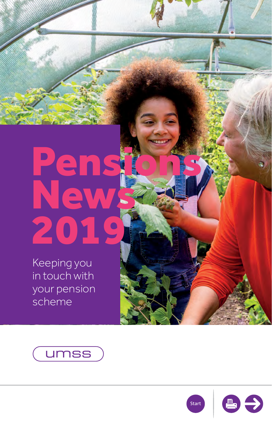# <span id="page-0-0"></span>News 2019 Pensions

Keeping you in touch with your pension scheme





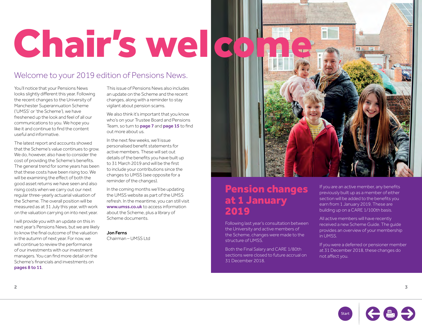# <span id="page-1-0"></span>Chair's wel co

### Welcome to your 2019 edition of Pensions News.

You'll notice that your Pensions News looks slightly different this year. Following the recent changes to the University of Manchester Superannuation Scheme ('UMSS' or 'the Scheme'), we have freshened up the look and feel of all our communications to you. We hope you like it and continue to find the content useful and informative.

The latest report and accounts showed that the Scheme's value continues to grow. We do, however, also have to consider the cost of providing the Scheme's benefits. The general trend for some years has been that these costs have been rising too. We will be examining the effect of both the good asset returns we have seen and also rising costs when we carry out our next regular three-yearly actuarial valuation of the Scheme. The overall position will be measured as at 31 July this year, with work on the valuation carrying on into next year.

I will provide you with an update on this in next year's Pensions News, but we are likely to know the final outcome of the valuation in the autumn of next year. For now, we will continue to review the performance of our investments with our investment managers. You can find more detail on the Scheme's financials and investments on [pages 8 to 11](#page-4-0).

This issue of Pensions News also includes an update on the Scheme and the recent changes, along with a reminder to stay vigilant about pension scams.

We also think it's important that you know who's on your Trustee Board and Pensions Team, so turn to [page 7](#page-3-0) and [page 15](#page-7-0) to find out more about us.

In the next few weeks, we'll issue personalised benefit statements for active members. These will set out details of the benefits you have built up to 31 March 2019 and will be the first to include your contributions since the changes to UMSS (see opposite for a reminder of the changes).

In the coming months we'll be updating the UMSS website as part of the UMSS refresh. In the meantime, you can still visit [www.umss.co.uk](http://www.umss.co.uk) to access information about the Scheme, plus a library of Scheme documents.

Jon Ferns Chairman – UMSS Ltd Pension changes at 1 January 2019

Following last year's consultation between the University and active members of the Scheme, changes were made to the structure of UMSS.

Both the Final Salary and CARE 1/80th sections were closed to future accrual on 31 December 2018.

If you are an active member, any benefits previously built up as a member of either section will be added to the benefits you earn from 1 January 2019. These are building up on a CARE 1/100th basis.

All active members will have recently received a new Scheme Guide. The guide provides an overview of your membership in UMSS.

If you were a deferred or pensioner member at 31 December 2018, these changes do not affect you.

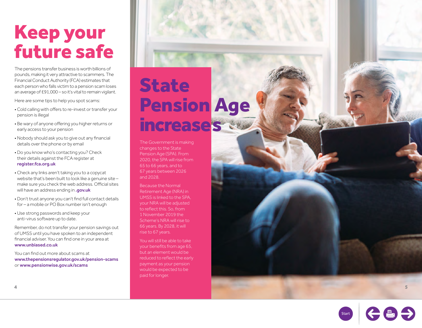### Keep your future safe

The pensions transfer business is worth billions of pounds, making it very attractive to scammers. The Financial Conduct Authority (FCA) estimates that each person who falls victim to a pension scam loses an average of £91,000 – so it's vital to remain vigilant.

Here are some tips to help you spot scams:

- Cold calling with offers to re-invest or transfer your pension is illegal
- Be wary of anyone offering you higher returns or early access to your pension
- Nobody should ask you to give out any financial details over the phone or by email
- Do you know who's contacting you? Check their details against the FCA register at [register.fca.org.uk](http://register.fca.org.uk)
- Check any links aren't taking you to a copycat website that's been built to look like a genuine site – make sure you check the web address. Official sites will have an address ending in .[gov.uk](http://gov.uk)
- Don't trust anyone you can't find full contact details for – a mobile or PO Box number isn't enough
- Use strong passwords and keep your anti-virus software up to date.

Remember, do not transfer your pension savings out of UMSS until you have spoken to an independent financial adviser. You can find one in your area at [www.unbiased.co.uk](http://www.unbiased.co.uk)

You can find out more about scams at [www.thepensionsregulator.gov.uk/pension-scams](http://www.thepensionsregulator.gov.uk/pension-scams) or [www.pensionwise.gov.uk/scams](http://www.pensionwise.gov.uk/scams)

### **State** Pension Age increases

The Government is making changes to the State Pension Age (SPA). From 2020, the SPA will rise from 65 to 66 years, and to 67 years between 2026 and 2028.

Because the Normal Retirement Age (NRA) in UMSS is linked to the SPA, your NRA will be adjusted to reflect this. So, from 1 November 2019 the Scheme's NRA will rise to 66 years. By 2028, it will rise to 67 years.

You will still be able to take your benefits from age 65, but an element would be reduced to reflect the early payment as your pension would be expected to be paid for longer.



**5**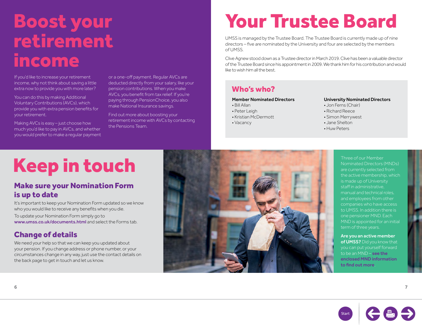### <span id="page-3-0"></span>Boost your retirement income

If you'd like to increase your retirement income, why not think about saving a little extra now to provide you with more later?

You can do this by making Additional Voluntary Contributions (AVCs), which provide you with extra pension benefits for your retirement.

Making AVCs is easy – just choose how much you'd like to pay in AVCs, and whether you would prefer to make a regular payment or a one-off payment. Regular AVCs are deducted directly from your salary, like your pension contributions. When you make AVCs, you benefit from tax relief. If you're paying through PensionChoice, you also make National Insurance savings.

Find out more about boosting your retirement income with AVCs by contacting the Pensions Team.

## Your Trustee Board

UMSS is managed by the Trustee Board. The Trustee Board is currently made up of nine directors – five are nominated by the University and four are selected by the members of UMSS.

Clive Agnew stood down as a Trustee director in March 2019. Clive has been a valuable director of the Trustee Board since his appointment in 2009. We thank him for his contribution and would like to wish him all the best.

### Who's who?

#### Member Nominated Directors

- Bill Allan
- Peter Leigh
- Kristian McDermott
- Vacancy

#### University Nominated Directors

- Jon Ferns (Chair)
- Richard Reece
- Simon Merrywest
- Jane Shelton
- Huw Peters

# Keep in touch

#### Make sure your Nomination Form is up to date

It's important to keep your Nomination Form updated so we know who you would like to receive any benefits when you die.

To update your Nomination Form simply go to [www.umss.co.uk/documents.html](http://www.umss.co.uk/documents.html) and select the Forms tab.

#### Change of details

We need your help so that we can keep you updated about your pension. If you change address or phone number, or your circumstances change in any way, just use the contact details on the back page to get in touch and let us know.



Three of our Member Nominated Directors (MNDs) are currently selected from the active membership, which is made up of University staff in administrative, manual and technical roles, and employees from other companies who have access to UMSS. In addition there is one pensioner MND. Each MND is appointed for an initial term of three years.

Are you an active member of UMSS? Did you know that you can put yourself forward to be an MND – see the [enclosed MND information](http://www.umss.co.uk/documents.html)  [to find out more](http://www.umss.co.uk/documents.html).

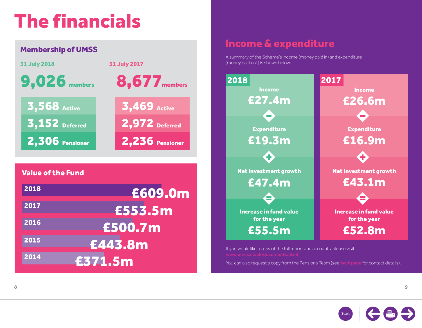# <span id="page-4-0"></span>The financials

| <b>Membership of UMSS</b> |                     |  |  |
|---------------------------|---------------------|--|--|
| <b>31 July 2018</b>       | <b>31 July 2017</b> |  |  |
| $9,026$ members           | 8,677 members       |  |  |
| 3,568 Active              | 3,469 Active        |  |  |
| $3,152$ Deferred          | 2,972 Deferred      |  |  |
| 2,306 Pensioner           | 2,236 Pensioner     |  |  |
|                           |                     |  |  |
| <b>Value of the Fund</b>  |                     |  |  |
| 2018                      | £609.0m             |  |  |
| 2017                      | £553.5m             |  |  |
| 2016                      | £500.7m             |  |  |
| 2015<br>£443.8m           |                     |  |  |
| 2014<br>£371.5m           |                     |  |  |

### Income & expenditure

A summary of the Scheme's income (money paid in) and expenditure (money paid out) is shown below:



If you would like a copy of the full report and accounts, please visit

You can also request a copy from the Pensions Team (see [back page](#page-8-0) for contact details).

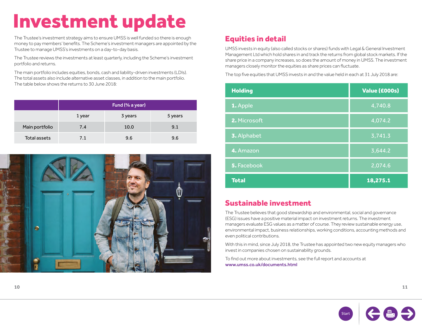## Investment update

The Trustee's investment strategy aims to ensure UMSS is well funded so there is enough money to pay members' benefits. The Scheme's investment managers are appointed by the Trustee to manage UMSS's investments on a day-to-day basis.

The Trustee reviews the investments at least quarterly, including the Scheme's investment portfolio and returns.

The main portfolio includes equities, bonds, cash and liability-driven investments (LDIs). The total assets also include alternative asset classes, in addition to the main portfolio. The table below shows the returns to 30 June 2018:

|                | Fund (% a year) |         |         |
|----------------|-----------------|---------|---------|
|                | 1 year          | 3 years | 5 years |
| Main portfolio | 7.4             | 10.0    | 9.1     |
| Total assets   | 7.1             | 9.6     | 9.6     |



### Equities in detail

UMSS invests in equity (also called stocks or shares) funds with Legal & General Investment Management Ltd which hold shares in and track the returns from global stock markets. If the share price in a company increases, so does the amount of money in UMSS. The investment managers closely monitor the equities as share prices can fluctuate.

The top five equities that UMSS invests in and the value held in each at 31 July 2018 are:

| <b>Holding</b> | Value (£000s)    |
|----------------|------------------|
| 1. Apple       | $\sqrt{4,740.8}$ |
| 2. Microsoft   | 4,074.2          |
| 3. Alphabet    | 3,741.3          |
| 4. Amazon      | 3,644.2          |
| 5. Facebook    | 2,074.6          |
| <b>Total</b>   | 18,275.1         |

#### Sustainable investment

The Trustee believes that good stewardship and environmental, social and governance (ESG) issues have a positive material impact on investment returns. The investment managers evaluate ESG values as a matter of course. They review sustainable energy use, environmental impact, business relationships, working conditions, accounting methods and even political contributions.

With this in mind, since July 2018, the Trustee has appointed two new equity managers who invest in companies chosen on sustainability grounds.

To find out more about investments, see the full report and accounts at [www.umss.co.uk/documents.html](http://www.umss.co.uk/documents.html)

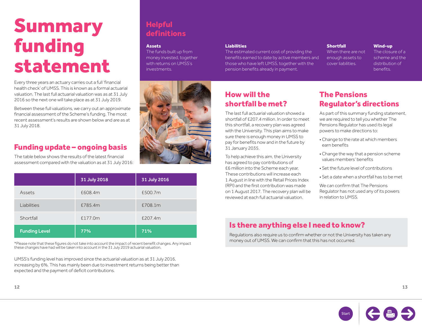### Summary funding statement

Every three years an actuary carries out a full 'financial health check' of UMSS. This is known as a formal actuarial valuation. The last full actuarial valuation was as at 31 July 2016 so the next one will take place as at 31 July 2019.

Between these full valuations, we carry out an approximate financial assessment of the Scheme's funding. The most recent assessment's results are shown below and are as at 31 July 2018.

#### Funding update – ongoing basis

The table below shows the results of the latest financial assessment compared with the valuation as at 31 July 2016:

|                      | 31 July 2018 | 31 July 2016 |
|----------------------|--------------|--------------|
| Assets               | £608.4m      | £500.7m      |
| Liabilities          | £785.4m      | £708.1m      |
| Shortfall            | £177.0m      | £207.4m      |
| <b>Funding Level</b> | 77%          | 71%          |

\*Please note that these figures do not take into account the impact of recent benefit changes. Any impact these changes have had will be taken into account in the 31 July 2019 actuarial valuation.

UMSS's funding level has improved since the actuarial valuation as at 31 July 2016, increasing by 6%. This has mainly been due to investment returns being better than expected and the payment of deficit contributions.

### **Helpful** definitions

#### **Assets**

The funds built up from money invested, together with returns on UMSS's investments.



#### Liabilities

The estimated current cost of providing the benefits earned to date by active members and those who have left UMSS, together with the pension benefits already in payment.

#### How will the shortfall be met?

The last full actuarial valuation showed a shortfall of £207.4 million. In order to meet this shortfall, a recovery plan was agreed with the University. This plan aims to make sure there is enough money in UMSS to pay for benefits now and in the future by 31 January 2035.

To help achieve this aim, the University has agreed to pay contributions of £6 million into the Scheme each year. These contributions will increase each 1 August in line with the Retail Prices Index (RPI) and the first contribution was made on 1 August 2017. The recovery plan will be reviewed at each full actuarial valuation.

#### **Shortfall**

When there are not enough assets to cover liabilities.

Wind-up

The closure of a scheme and the distribution of **benefits** 

#### The Pensions Regulator's directions

As part of this summary funding statement, we are required to tell you whether The Pensions Regulator has used its legal powers to make directions to:

- Change to the rate at which members earn benefits
- Change the way that a pension scheme values members' benefits
- Set the future level of contributions
- Set a date when a shortfall has to be met

We can confirm that The Pensions Regulator has not used any of its powers in relation to UMSS.

#### Is there anything else I need to know?

Regulations also require us to confirm whether or not the University has taken any money out of UMSS. We can confirm that this has not occurred.

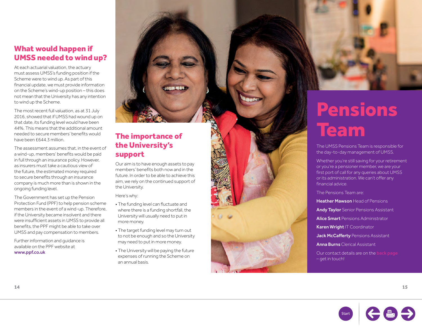#### <span id="page-7-0"></span>What would happen if UMSS needed to wind up?

At each actuarial valuation, the actuary must assess UMSS's funding position if the Scheme were to wind up. As part of this financial update, we must provide information on the Scheme's wind-up position – this does not mean that the University has any intention to wind up the Scheme.

The most recent full valuation, as at 31 July 2016, showed that if UMSS had wound up on that date, its funding level would have been 44%. This means that the additional amount needed to secure members' benefits would have been £644.3 million.

The assessment assumes that, in the event of a wind-up, members' benefits would be paid in full through an insurance policy. However, as insurers must take a cautious view of the future, the estimated money required to secure benefits through an insurance company is much more than is shown in the ongoing funding level.

The Government has set up the Pension Protection Fund (PPF) to help pension scheme members in the event of a wind-up. Therefore, if the University became insolvent and there were insufficient assets in UMSS to provide all benefits, the PPF might be able to take over UMSS and pay compensation to members.

Further information and guidance is available on the PPF website at [www.ppf.co.uk](http://www.ppf.co.uk)

### the University's support

Our aim is to have enough assets to pay members' benefits both now and in the future. In order to be able to achieve this aim, we rely on the continued support of the University.

Here's why:

- The funding level can fluctuate and where there is a funding shortfall, the University will usually need to put in more money.
- The target funding level may turn out to not be enough and so the University may need to put in more money.
- The University will be paying the future expenses of running the Scheme on an annual basis.



The UMSS Pensions Team is responsible for the day-to-day management of UMSS.

Whether you're still saving for your retirement or you're a pensioner member, we are your first port of call for any queries about UMSS or its administration. We can't offer any financial advice.

The Pensions Team are:

Heather Mawson Head of Pensions

Andy Taylor Senior Pensions Assistant

**Alice Smart** Pensions Administrator

Karen Wright IT Coordinator

Jack McCafferty Pensions Assistant

Anna Burns Clerical Assistant

Our contact details are on the [back page](#page-8-0) – get in touch!